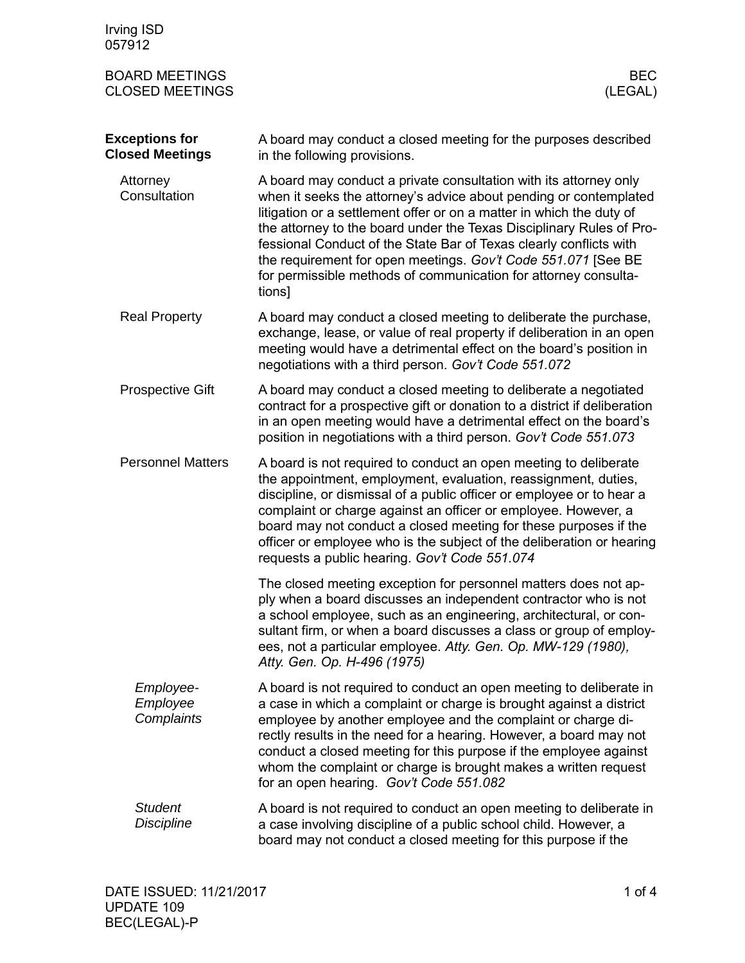| Irving ISD<br>057912                            |                                                                                                                                                                                                                                                                                                                                                                                                                                                                                                            |
|-------------------------------------------------|------------------------------------------------------------------------------------------------------------------------------------------------------------------------------------------------------------------------------------------------------------------------------------------------------------------------------------------------------------------------------------------------------------------------------------------------------------------------------------------------------------|
| <b>BOARD MEETINGS</b><br><b>CLOSED MEETINGS</b> | <b>BEC</b><br>(LEGAL)                                                                                                                                                                                                                                                                                                                                                                                                                                                                                      |
| <b>Exceptions for</b><br><b>Closed Meetings</b> | A board may conduct a closed meeting for the purposes described<br>in the following provisions.                                                                                                                                                                                                                                                                                                                                                                                                            |
| Attorney<br>Consultation                        | A board may conduct a private consultation with its attorney only<br>when it seeks the attorney's advice about pending or contemplated<br>litigation or a settlement offer or on a matter in which the duty of<br>the attorney to the board under the Texas Disciplinary Rules of Pro-<br>fessional Conduct of the State Bar of Texas clearly conflicts with<br>the requirement for open meetings. Gov't Code 551.071 [See BE<br>for permissible methods of communication for attorney consulta-<br>tions] |
| <b>Real Property</b>                            | A board may conduct a closed meeting to deliberate the purchase,<br>exchange, lease, or value of real property if deliberation in an open<br>meeting would have a detrimental effect on the board's position in<br>negotiations with a third person. Gov't Code 551.072                                                                                                                                                                                                                                    |
| <b>Prospective Gift</b>                         | A board may conduct a closed meeting to deliberate a negotiated<br>contract for a prospective gift or donation to a district if deliberation<br>in an open meeting would have a detrimental effect on the board's<br>position in negotiations with a third person. Gov't Code 551.073                                                                                                                                                                                                                      |
| <b>Personnel Matters</b>                        | A board is not required to conduct an open meeting to deliberate<br>the appointment, employment, evaluation, reassignment, duties,<br>discipline, or dismissal of a public officer or employee or to hear a<br>complaint or charge against an officer or employee. However, a<br>board may not conduct a closed meeting for these purposes if the<br>officer or employee who is the subject of the deliberation or hearing<br>requests a public hearing. Gov't Code 551.074                                |
|                                                 | The closed meeting exception for personnel matters does not ap-<br>ply when a board discusses an independent contractor who is not<br>a school employee, such as an engineering, architectural, or con-<br>sultant firm, or when a board discusses a class or group of employ-<br>ees, not a particular employee. Atty. Gen. Op. MW-129 (1980),<br>Atty. Gen. Op. H-496 (1975)                                                                                                                             |
| Employee-<br>Employee<br>Complaints             | A board is not required to conduct an open meeting to deliberate in<br>a case in which a complaint or charge is brought against a district<br>employee by another employee and the complaint or charge di-<br>rectly results in the need for a hearing. However, a board may not<br>conduct a closed meeting for this purpose if the employee against<br>whom the complaint or charge is brought makes a written request<br>for an open hearing. Gov't Code 551.082                                        |
| <b>Student</b><br><b>Discipline</b>             | A board is not required to conduct an open meeting to deliberate in<br>a case involving discipline of a public school child. However, a<br>board may not conduct a closed meeting for this purpose if the                                                                                                                                                                                                                                                                                                  |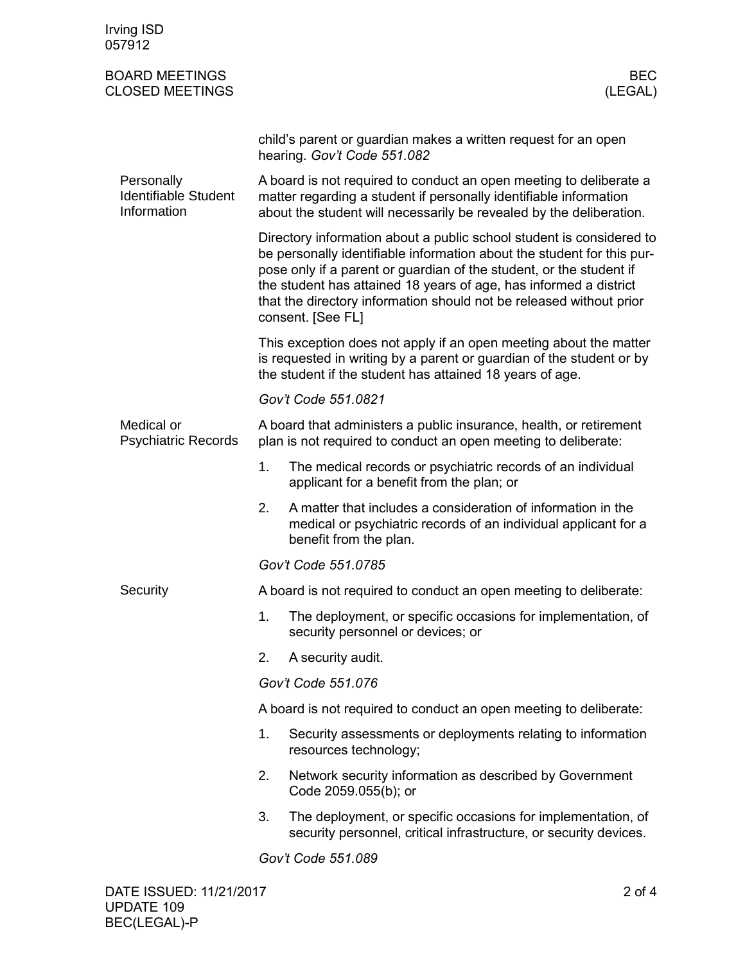| Irving ISD<br>057912                                     |                                                                                                                                                                                                                                                                                                                                                                                        |                                                                                                                                                           |  |  |  |
|----------------------------------------------------------|----------------------------------------------------------------------------------------------------------------------------------------------------------------------------------------------------------------------------------------------------------------------------------------------------------------------------------------------------------------------------------------|-----------------------------------------------------------------------------------------------------------------------------------------------------------|--|--|--|
| <b>BOARD MEETINGS</b><br><b>CLOSED MEETINGS</b>          |                                                                                                                                                                                                                                                                                                                                                                                        | <b>BEC</b><br>(LEGAL)                                                                                                                                     |  |  |  |
|                                                          |                                                                                                                                                                                                                                                                                                                                                                                        | child's parent or guardian makes a written request for an open<br>hearing. Gov't Code 551.082                                                             |  |  |  |
| Personally<br><b>Identifiable Student</b><br>Information | A board is not required to conduct an open meeting to deliberate a<br>matter regarding a student if personally identifiable information<br>about the student will necessarily be revealed by the deliberation.                                                                                                                                                                         |                                                                                                                                                           |  |  |  |
|                                                          | Directory information about a public school student is considered to<br>be personally identifiable information about the student for this pur-<br>pose only if a parent or guardian of the student, or the student if<br>the student has attained 18 years of age, has informed a district<br>that the directory information should not be released without prior<br>consent. [See FL] |                                                                                                                                                           |  |  |  |
|                                                          | This exception does not apply if an open meeting about the matter<br>is requested in writing by a parent or guardian of the student or by<br>the student if the student has attained 18 years of age.                                                                                                                                                                                  |                                                                                                                                                           |  |  |  |
|                                                          | Gov't Code 551.0821                                                                                                                                                                                                                                                                                                                                                                    |                                                                                                                                                           |  |  |  |
| Medical or<br><b>Psychiatric Records</b>                 | A board that administers a public insurance, health, or retirement<br>plan is not required to conduct an open meeting to deliberate:                                                                                                                                                                                                                                                   |                                                                                                                                                           |  |  |  |
|                                                          | 1.                                                                                                                                                                                                                                                                                                                                                                                     | The medical records or psychiatric records of an individual<br>applicant for a benefit from the plan; or                                                  |  |  |  |
|                                                          | 2.                                                                                                                                                                                                                                                                                                                                                                                     | A matter that includes a consideration of information in the<br>medical or psychiatric records of an individual applicant for a<br>benefit from the plan. |  |  |  |
|                                                          |                                                                                                                                                                                                                                                                                                                                                                                        | Gov't Code 551.0785                                                                                                                                       |  |  |  |
| Security                                                 | A board is not required to conduct an open meeting to deliberate:                                                                                                                                                                                                                                                                                                                      |                                                                                                                                                           |  |  |  |
|                                                          | 1.                                                                                                                                                                                                                                                                                                                                                                                     | The deployment, or specific occasions for implementation, of<br>security personnel or devices; or                                                         |  |  |  |
|                                                          | 2.                                                                                                                                                                                                                                                                                                                                                                                     | A security audit.                                                                                                                                         |  |  |  |
|                                                          | Gov't Code 551.076                                                                                                                                                                                                                                                                                                                                                                     |                                                                                                                                                           |  |  |  |
|                                                          | A board is not required to conduct an open meeting to deliberate:                                                                                                                                                                                                                                                                                                                      |                                                                                                                                                           |  |  |  |
|                                                          | 1.                                                                                                                                                                                                                                                                                                                                                                                     | Security assessments or deployments relating to information<br>resources technology;                                                                      |  |  |  |
|                                                          | 2.                                                                                                                                                                                                                                                                                                                                                                                     | Network security information as described by Government<br>Code 2059.055(b); or                                                                           |  |  |  |
|                                                          | 3.                                                                                                                                                                                                                                                                                                                                                                                     | The deployment, or specific occasions for implementation, of<br>security personnel, critical infrastructure, or security devices.                         |  |  |  |
|                                                          |                                                                                                                                                                                                                                                                                                                                                                                        | Gov't Code 551.089                                                                                                                                        |  |  |  |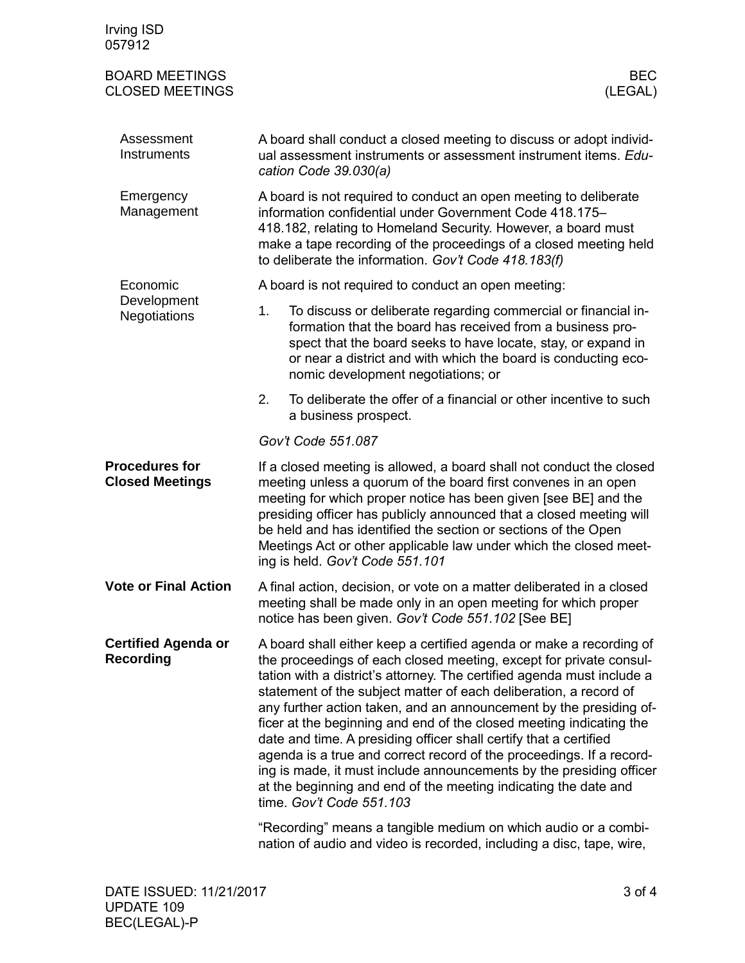| Irving ISD<br>057912                            |                                                                                                                                                                                                                                                                                                                                                                                                                                                                                                                                                                                                                                                                                                                                                          |  |  |
|-------------------------------------------------|----------------------------------------------------------------------------------------------------------------------------------------------------------------------------------------------------------------------------------------------------------------------------------------------------------------------------------------------------------------------------------------------------------------------------------------------------------------------------------------------------------------------------------------------------------------------------------------------------------------------------------------------------------------------------------------------------------------------------------------------------------|--|--|
| <b>BOARD MEETINGS</b><br><b>CLOSED MEETINGS</b> | <b>BEC</b><br>(LEGAL)                                                                                                                                                                                                                                                                                                                                                                                                                                                                                                                                                                                                                                                                                                                                    |  |  |
| Assessment<br>Instruments                       | A board shall conduct a closed meeting to discuss or adopt individ-<br>ual assessment instruments or assessment instrument items. Edu-<br>cation Code 39.030(a)                                                                                                                                                                                                                                                                                                                                                                                                                                                                                                                                                                                          |  |  |
| Emergency<br>Management                         | A board is not required to conduct an open meeting to deliberate<br>information confidential under Government Code 418.175-<br>418.182, relating to Homeland Security. However, a board must<br>make a tape recording of the proceedings of a closed meeting held<br>to deliberate the information. Gov't Code 418.183(f)                                                                                                                                                                                                                                                                                                                                                                                                                                |  |  |
| Economic                                        | A board is not required to conduct an open meeting:                                                                                                                                                                                                                                                                                                                                                                                                                                                                                                                                                                                                                                                                                                      |  |  |
| Development<br><b>Negotiations</b>              | 1.<br>To discuss or deliberate regarding commercial or financial in-<br>formation that the board has received from a business pro-<br>spect that the board seeks to have locate, stay, or expand in<br>or near a district and with which the board is conducting eco-<br>nomic development negotiations; or                                                                                                                                                                                                                                                                                                                                                                                                                                              |  |  |
|                                                 | 2.<br>To deliberate the offer of a financial or other incentive to such<br>a business prospect.                                                                                                                                                                                                                                                                                                                                                                                                                                                                                                                                                                                                                                                          |  |  |
|                                                 | Gov't Code 551.087                                                                                                                                                                                                                                                                                                                                                                                                                                                                                                                                                                                                                                                                                                                                       |  |  |
| <b>Procedures for</b><br><b>Closed Meetings</b> | If a closed meeting is allowed, a board shall not conduct the closed<br>meeting unless a quorum of the board first convenes in an open<br>meeting for which proper notice has been given [see BE] and the<br>presiding officer has publicly announced that a closed meeting will<br>be held and has identified the section or sections of the Open<br>Meetings Act or other applicable law under which the closed meet-<br>ing is held. Gov't Code 551.101                                                                                                                                                                                                                                                                                               |  |  |
| <b>Vote or Final Action</b>                     | A final action, decision, or vote on a matter deliberated in a closed<br>meeting shall be made only in an open meeting for which proper<br>notice has been given. Gov't Code 551.102 [See BE]                                                                                                                                                                                                                                                                                                                                                                                                                                                                                                                                                            |  |  |
| <b>Certified Agenda or</b><br><b>Recording</b>  | A board shall either keep a certified agenda or make a recording of<br>the proceedings of each closed meeting, except for private consul-<br>tation with a district's attorney. The certified agenda must include a<br>statement of the subject matter of each deliberation, a record of<br>any further action taken, and an announcement by the presiding of-<br>ficer at the beginning and end of the closed meeting indicating the<br>date and time. A presiding officer shall certify that a certified<br>agenda is a true and correct record of the proceedings. If a record-<br>ing is made, it must include announcements by the presiding officer<br>at the beginning and end of the meeting indicating the date and<br>time. Gov't Code 551.103 |  |  |
|                                                 | "Recording" means a tangible medium on which audio or a combi-<br>nation of audio and video is recorded, including a disc, tape, wire,                                                                                                                                                                                                                                                                                                                                                                                                                                                                                                                                                                                                                   |  |  |